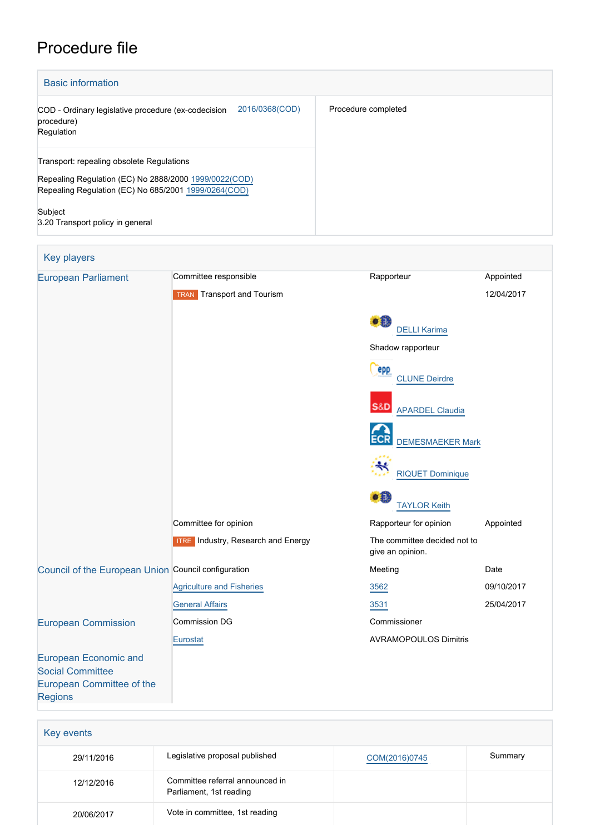# Procedure file

[Regions](http://www.cor.europa.eu/)

| <b>Basic information</b>                                                                                                                                   |                     |  |
|------------------------------------------------------------------------------------------------------------------------------------------------------------|---------------------|--|
| 2016/0368(COD)<br>COD - Ordinary legislative procedure (ex-codecision<br>procedure)<br>Regulation                                                          | Procedure completed |  |
| Transport: repealing obsolete Regulations<br>Repealing Regulation (EC) No 2888/2000 1999/0022(COD)<br>Repealing Regulation (EC) No 685/2001 1999/0264(COD) |                     |  |
| Subject<br>3.20 Transport policy in general                                                                                                                |                     |  |

| <b>Key players</b>                                                                   |                                           |                                                  |            |
|--------------------------------------------------------------------------------------|-------------------------------------------|--------------------------------------------------|------------|
| <b>European Parliament</b>                                                           | Committee responsible                     | Rapporteur                                       | Appointed  |
|                                                                                      | <b>TRAN</b> Transport and Tourism         |                                                  | 12/04/2017 |
|                                                                                      |                                           | ٥Ĥ<br><b>DELLI Karima</b>                        |            |
|                                                                                      |                                           | Shadow rapporteur                                |            |
|                                                                                      |                                           | epp<br><b>CLUNE Deirdre</b>                      |            |
|                                                                                      |                                           | S&D<br><b>APARDEL Claudia</b>                    |            |
|                                                                                      |                                           | <b>DEMESMAEKER Mark</b>                          |            |
|                                                                                      |                                           | <b>RIQUET Dominique</b>                          |            |
|                                                                                      |                                           | 31<br><b>TAYLOR Keith</b>                        |            |
|                                                                                      | Committee for opinion                     | Rapporteur for opinion                           | Appointed  |
|                                                                                      | <b>ITRE</b> Industry, Research and Energy | The committee decided not to<br>give an opinion. |            |
| Council of the European Union Council configuration                                  |                                           | Meeting                                          | Date       |
|                                                                                      | <b>Agriculture and Fisheries</b>          | 3562                                             | 09/10/2017 |
|                                                                                      | <b>General Affairs</b>                    | 3531                                             | 25/04/2017 |
| <b>European Commission</b>                                                           | <b>Commission DG</b>                      | Commissioner                                     |            |
|                                                                                      | Eurostat                                  | <b>AVRAMOPOULOS Dimitris</b>                     |            |
| <b>European Economic and</b><br><b>Social Committee</b><br>European Committee of the |                                           |                                                  |            |

| Key events |                                                            |               |         |
|------------|------------------------------------------------------------|---------------|---------|
| 29/11/2016 | Legislative proposal published                             | COM(2016)0745 | Summary |
| 12/12/2016 | Committee referral announced in<br>Parliament, 1st reading |               |         |
| 20/06/2017 | Vote in committee, 1st reading                             |               |         |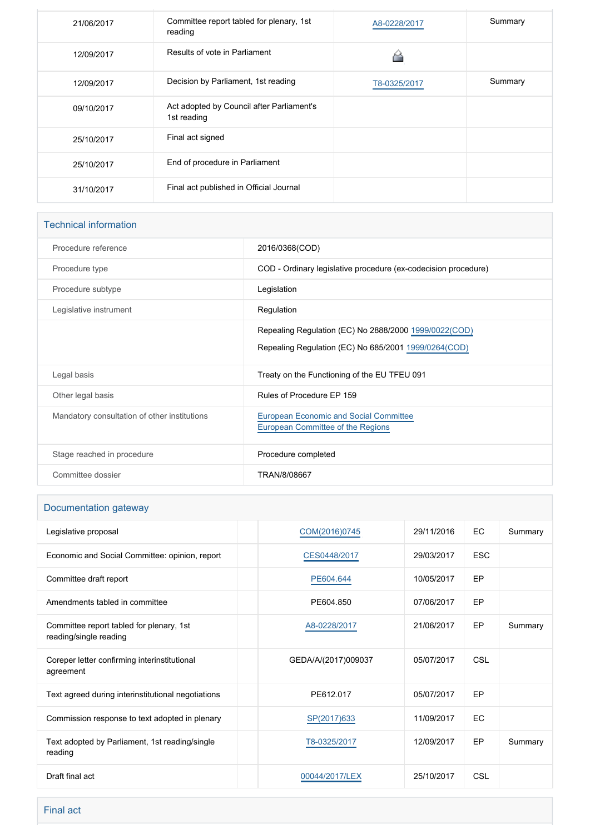| 21/06/2017 | Committee report tabled for plenary, 1st<br>reading      | A8-0228/2017 | Summary |
|------------|----------------------------------------------------------|--------------|---------|
| 12/09/2017 | Results of vote in Parliament                            |              |         |
| 12/09/2017 | Decision by Parliament, 1st reading                      | T8-0325/2017 | Summary |
| 09/10/2017 | Act adopted by Council after Parliament's<br>1st reading |              |         |
| 25/10/2017 | Final act signed                                         |              |         |
| 25/10/2017 | End of procedure in Parliament                           |              |         |
| 31/10/2017 | Final act published in Official Journal                  |              |         |

| <b>Technical information</b>                 |                                                                                    |
|----------------------------------------------|------------------------------------------------------------------------------------|
| Procedure reference                          | 2016/0368(COD)                                                                     |
| Procedure type                               | COD - Ordinary legislative procedure (ex-codecision procedure)                     |
| Procedure subtype                            | Legislation                                                                        |
| Legislative instrument                       | Regulation                                                                         |
|                                              | Repealing Regulation (EC) No 2888/2000 1999/0022(COD)                              |
|                                              | Repealing Regulation (EC) No 685/2001 1999/0264(COD)                               |
| Legal basis                                  | Treaty on the Functioning of the EU TFEU 091                                       |
| Other legal basis                            | Rules of Procedure EP 159                                                          |
| Mandatory consultation of other institutions | <b>European Economic and Social Committee</b><br>European Committee of the Regions |
| Stage reached in procedure                   | Procedure completed                                                                |
| Committee dossier                            | TRAN/8/08667                                                                       |

# Documentation gateway

| Legislative proposal                                               | COM(2016)0745       | 29/11/2016 | EC         | Summary |
|--------------------------------------------------------------------|---------------------|------------|------------|---------|
| Economic and Social Committee: opinion, report                     | CES0448/2017        | 29/03/2017 | <b>ESC</b> |         |
| Committee draft report                                             | PE604.644           | 10/05/2017 | EP         |         |
| Amendments tabled in committee                                     | PE604.850           | 07/06/2017 | <b>EP</b>  |         |
| Committee report tabled for plenary, 1st<br>reading/single reading | A8-0228/2017        | 21/06/2017 | EP         | Summary |
| Coreper letter confirming interinstitutional<br>agreement          | GEDA/A/(2017)009037 | 05/07/2017 | CSL        |         |
| Text agreed during interinstitutional negotiations                 | PE612.017           | 05/07/2017 | EP         |         |
| Commission response to text adopted in plenary                     | SP(2017)633         | 11/09/2017 | <b>EC</b>  |         |
| Text adopted by Parliament, 1st reading/single<br>reading          | T8-0325/2017        | 12/09/2017 | EP         | Summary |
| Draft final act                                                    | 00044/2017/LEX      | 25/10/2017 | CSL        |         |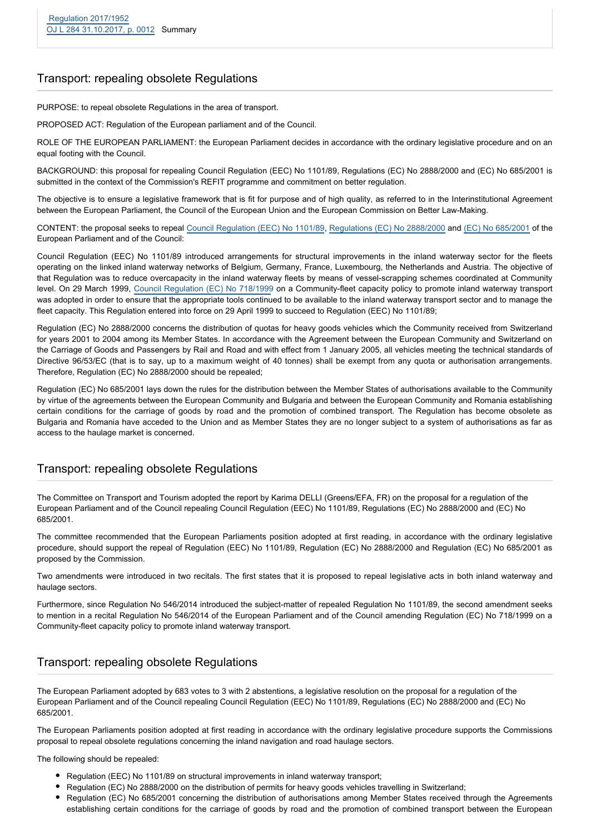#### Transport: repealing obsolete Regulations

PURPOSE: to repeal obsolete Regulations in the area of transport.

PROPOSED ACT: Regulation of the European parliament and of the Council.

ROLE OF THE EUROPEAN PARLIAMENT: the European Parliament decides in accordance with the ordinary legislative procedure and on an equal footing with the Council.

BACKGROUND: this proposal for repealing Council Regulation (EEC) No 1101/89, Regulations (EC) No 2888/2000 and (EC) No 685/2001 is submitted in the context of the Commission's REFIT programme and commitment on better regulation.

The objective is to ensure a legislative framework that is fit for purpose and of high quality, as referred to in the Interinstitutional Agreement between the European Parliament, the Council of the European Union and the European Commission on Better Law-Making.

CONTENT: the proposal seeks to repeal [Council Regulation \(EEC\) No 1101/89](http://eur-lex.europa.eu/legal-content/EN/TXT/PDF/?uri=CELEX:31989R1101&rid=1), [Regulations \(EC\) No 2888/2000](http://eur-lex.europa.eu/legal-content/EN/TXT/PDF/?uri=CELEX:02000R2888-20040501&qid=1481536047520&from=EN) and [\(EC\) No 685/2001](http://eur-lex.europa.eu/legal-content/EN/TXT/PDF/?uri=CELEX:02001R0685-20040501&qid=1481536106126&from=EN) of the European Parliament and of the Council:

Council Regulation (EEC) No 1101/89 introduced arrangements for structural improvements in the inland waterway sector for the fleets operating on the linked inland waterway networks of Belgium, Germany, France, Luxembourg, the Netherlands and Austria. The objective of that Regulation was to reduce overcapacity in the inland waterway fleets by means of vessel-scrapping schemes coordinated at Community level. On 29 March 1999, [Council Regulation \(EC\) No 718/1999](http://eur-lex.europa.eu/legal-content/EN/TXT/PDF/?uri=CELEX:01999R0718-20140618&qid=1481536211728&from=EN) on a Community-fleet capacity policy to promote inland waterway transport was adopted in order to ensure that the appropriate tools continued to be available to the inland waterway transport sector and to manage the fleet capacity. This Regulation entered into force on 29 April 1999 to succeed to Regulation (EEC) No 1101/89;

Regulation (EC) No 2888/2000 concerns the distribution of quotas for heavy goods vehicles which the Community received from Switzerland for years 2001 to 2004 among its Member States. In accordance with the Agreement between the European Community and Switzerland on the Carriage of Goods and Passengers by Rail and Road and with effect from 1 January 2005, all vehicles meeting the technical standards of Directive 96/53/EC (that is to say, up to a maximum weight of 40 tonnes) shall be exempt from any quota or authorisation arrangements. Therefore, Regulation (EC) No 2888/2000 should be repealed;

Regulation (EC) No 685/2001 lays down the rules for the distribution between the Member States of authorisations available to the Community by virtue of the agreements between the European Community and Bulgaria and between the European Community and Romania establishing certain conditions for the carriage of goods by road and the promotion of combined transport. The Regulation has become obsolete as Bulgaria and Romania have acceded to the Union and as Member States they are no longer subject to a system of authorisations as far as access to the haulage market is concerned.

#### Transport: repealing obsolete Regulations

The Committee on Transport and Tourism adopted the report by Karima DELLI (Greens/EFA, FR) on the proposal for a regulation of the European Parliament and of the Council repealing Council Regulation (EEC) No 1101/89, Regulations (EC) No 2888/2000 and (EC) No 685/2001.

The committee recommended that the European Parliaments position adopted at first reading, in accordance with the ordinary legislative procedure, should support the repeal of Regulation (EEC) No 1101/89, Regulation (EC) No 2888/2000 and Regulation (EC) No 685/2001 as proposed by the Commission.

Two amendments were introduced in two recitals. The first states that it is proposed to repeal legislative acts in both inland waterway and haulage sectors.

Furthermore, since Regulation No 546/2014 introduced the subject-matter of repealed Regulation No 1101/89, the second amendment seeks to mention in a recital Regulation No 546/2014 of the European Parliament and of the Council amending Regulation (EC) No 718/1999 on a Community-fleet capacity policy to promote inland waterway transport.

## Transport: repealing obsolete Regulations

The European Parliament adopted by 683 votes to 3 with 2 abstentions, a legislative resolution on the proposal for a regulation of the European Parliament and of the Council repealing Council Regulation (EEC) No 1101/89, Regulations (EC) No 2888/2000 and (EC) No 685/2001.

The European Parliaments position adopted at first reading in accordance with the ordinary legislative procedure supports the Commissions proposal to repeal obsolete regulations concerning the inland navigation and road haulage sectors.

The following should be repealed:

- Regulation (EEC) No 1101/89 on structural improvements in inland waterway transport;
- Regulation (EC) No 2888/2000 on the distribution of permits for heavy goods vehicles travelling in Switzerland;
- Regulation (EC) No 685/2001 concerning the distribution of authorisations among Member States received through the Agreements establishing certain conditions for the carriage of goods by road and the promotion of combined transport between the European